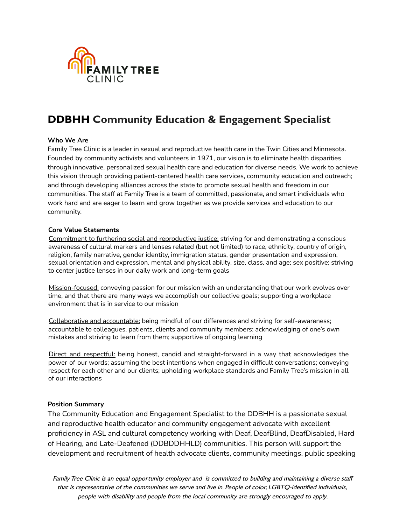

#### **Who We Are**

Family Tree Clinic is a leader in sexual and reproductive health care in the Twin Cities and Minnesota. Founded by community activists and volunteers in 1971, our vision is to eliminate health disparities through innovative, personalized sexual health care and education for diverse needs. We work to achieve this vision through providing patient-centered health care services, community education and outreach; and through developing alliances across the state to promote sexual health and freedom in our communities. The staff at Family Tree is a team of committed, passionate, and smart individuals who work hard and are eager to learn and grow together as we provide services and education to our community.

#### **Core Value Statements**

Commitment to furthering social and reproductive justice: striving for and demonstrating a conscious awareness of cultural markers and lenses related (but not limited) to race, ethnicity, country of origin, religion, family narrative, gender identity, immigration status, gender presentation and expression, sexual orientation and expression, mental and physical ability, size, class, and age; sex positive; striving to center justice lenses in our daily work and long-term goals

Mission-focused: conveying passion for our mission with an understanding that our work evolves over time, and that there are many ways we accomplish our collective goals; supporting a workplace environment that is in service to our mission

Collaborative and accountable: being mindful of our differences and striving for self-awareness; accountable to colleagues, patients, clients and community members; acknowledging of one's own mistakes and striving to learn from them; supportive of ongoing learning

Direct and respectful: being honest, candid and straight-forward in a way that acknowledges the power of our words; assuming the best intentions when engaged in difficult conversations; conveying respect for each other and our clients; upholding workplace standards and Family Tree's mission in all of our interactions

### **Position Summary**

The Community Education and Engagement Specialist to the DDBHH is a passionate sexual and reproductive health educator and community engagement advocate with excellent proficiency in ASL and cultural competency working with Deaf, DeafBlind, DeafDisabled, Hard of Hearing, and Late-Deafened (DDBDDHHLD) communities. This person will support the development and recruitment of health advocate clients, community meetings, public speaking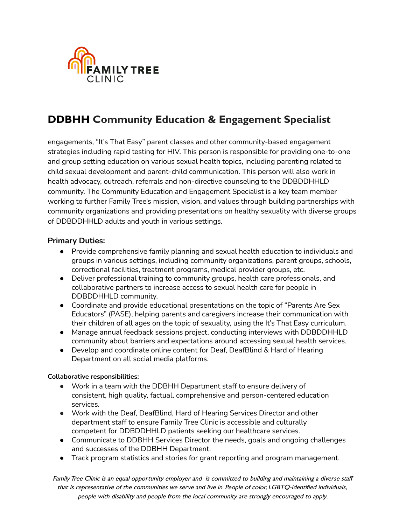

engagements, "It's That Easy" parent classes and other community-based engagement strategies including rapid testing for HIV. This person is responsible for providing one-to-one and group setting education on various sexual health topics, including parenting related to child sexual development and parent-child communication. This person will also work in health advocacy, outreach, referrals and non-directive counseling to the DDBDDHHLD community. The Community Education and Engagement Specialist is a key team member working to further Family Tree's mission, vision, and values through building partnerships with community organizations and providing presentations on healthy sexuality with diverse groups of DDBDDHHLD adults and youth in various settings.

## **Primary Duties:**

- Provide comprehensive family planning and sexual health education to individuals and groups in various settings, including community organizations, parent groups, schools, correctional facilities, treatment programs, medical provider groups, etc.
- Deliver professional training to community groups, health care professionals, and collaborative partners to increase access to sexual health care for people in DDBDDHHLD community.
- Coordinate and provide educational presentations on the topic of "Parents Are Sex Educators" (PASE), helping parents and caregivers increase their communication with their children of all ages on the topic of sexuality, using the It's That Easy curriculum.
- Manage annual feedback sessions project, conducting interviews with DDBDDHHLD community about barriers and expectations around accessing sexual health services.
- Develop and coordinate online content for Deaf, DeafBlind & Hard of Hearing Department on all social media platforms.

### **Collaborative responsibilities:**

- Work in a team with the DDBHH Department staff to ensure delivery of consistent, high quality, factual, comprehensive and person-centered education services.
- Work with the Deaf, DeafBlind, Hard of Hearing Services Director and other department staff to ensure Family Tree Clinic is accessible and culturally competent for DDBDDHHLD patients seeking our healthcare services.
- Communicate to DDBHH Services Director the needs, goals and ongoing challenges and successes of the DDBHH Department.
- Track program statistics and stories for grant reporting and program management.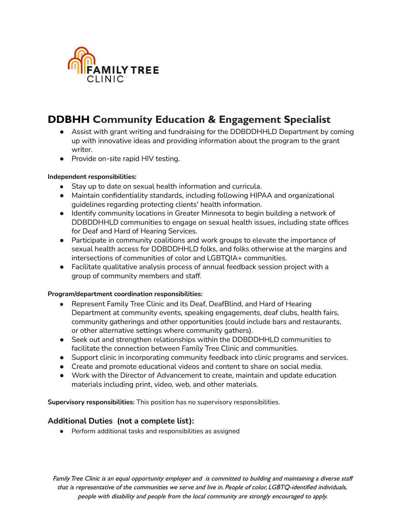

- Assist with grant writing and fundraising for the DDBDDHHLD Department by coming up with innovative ideas and providing information about the program to the grant writer.
- Provide on-site rapid HIV testing.

### **Independent responsibilities:**

- Stay up to date on sexual health information and curricula.
- Maintain confidentiality standards, including following HIPAA and organizational guidelines regarding protecting clients' health information.
- Identify community locations in Greater Minnesota to begin building a network of DDBDDHHLD communities to engage on sexual health issues, including state offices for Deaf and Hard of Hearing Services.
- Participate in community coalitions and work groups to elevate the importance of sexual health access for DDBDDHHLD folks, and folks otherwise at the margins and intersections of communities of color and LGBTQIA+ communities.
- Facilitate qualitative analysis process of annual feedback session project with a group of community members and staff.

### **Program/department coordination responsibilities:**

- **●** Represent Family Tree Clinic and its Deaf, DeafBlind, and Hard of Hearing Department at community events, speaking engagements, deaf clubs, health fairs, community gatherings and other opportunities (could include bars and restaurants, or other alternative settings where community gathers).
- Seek out and strengthen relationships within the DDBDDHHLD communities to facilitate the connection between Family Tree Clinic and communities.
- Support clinic in incorporating community feedback into clinic programs and services.
- Create and promote educational videos and content to share on social media.
- Work with the Director of Advancement to create, maintain and update education materials including print, video, web, and other materials.

**Supervisory responsibilities:** This position has no supervisory responsibilities.

## **Additional Duties (not a complete list):**

● Perform additional tasks and responsibilities as assigned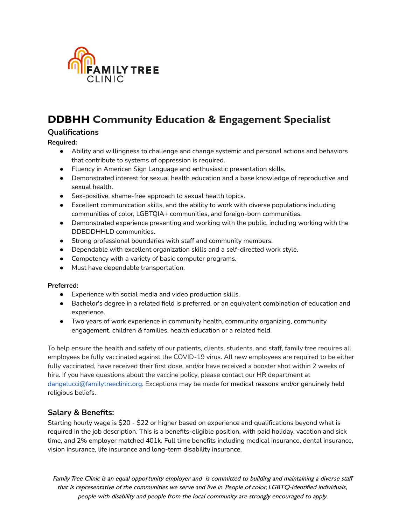

## **Qualifications**

**Required:**

- Ability and willingness to challenge and change systemic and personal actions and behaviors that contribute to systems of oppression is required.
- Fluency in American Sign Language and enthusiastic presentation skills.
- Demonstrated interest for sexual health education and a base knowledge of reproductive and sexual health.
- Sex-positive, shame-free approach to sexual health topics.
- Excellent communication skills, and the ability to work with diverse populations including communities of color, LGBTQIA+ communities, and foreign-born communities.
- Demonstrated experience presenting and working with the public, including working with the DDBDDHHLD communities.
- Strong professional boundaries with staff and community members.
- Dependable with excellent organization skills and a self-directed work style.
- Competency with a variety of basic computer programs.
- Must have dependable transportation.

### **Preferred:**

- **●** Experience with social media and video production skills.
- Bachelor's degree in a related field is preferred, or an equivalent combination of education and experience.
- Two years of work experience in community health, community organizing, community engagement, children & families, health education or a related field.

To help ensure the health and safety of our patients, clients, students, and staff, family tree requires all employees be fully vaccinated against the COVID-19 virus. All new employees are required to be either fully vaccinated, have received their first dose, and/or have received a booster shot within 2 weeks of hire. If you have questions about the vaccine policy, please contact our HR department at dangelucci@familytreeclinic.org. Exceptions may be made for medical reasons and/or genuinely held religious beliefs.

## **Salary & Benefits:**

Starting hourly wage is \$20 - \$22 or higher based on experience and qualifications beyond what is required in the job description. This is a benefits-eligible position, with paid holiday, vacation and sick time, and 2% employer matched 401k. Full time benefits including medical insurance, dental insurance, vision insurance, life insurance and long-term disability insurance.